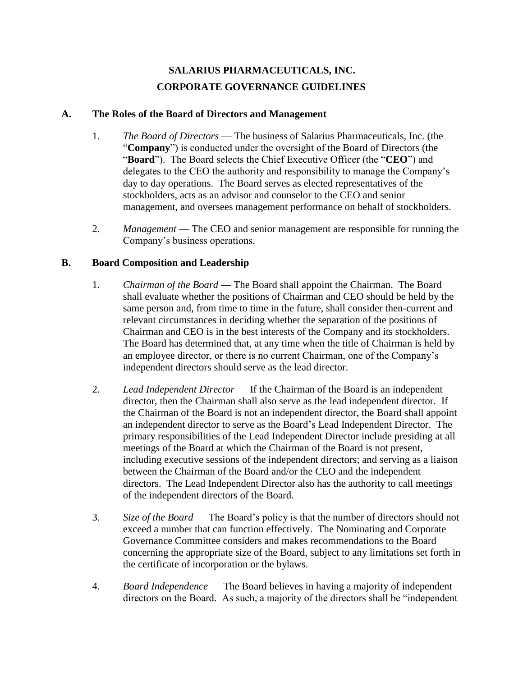# **SALARIUS PHARMACEUTICALS, INC. CORPORATE GOVERNANCE GUIDELINES**

#### **A. The Roles of the Board of Directors and Management**

- 1. *The Board of Directors* The business of Salarius Pharmaceuticals, Inc. (the "**Company**") is conducted under the oversight of the Board of Directors (the "**Board**"). The Board selects the Chief Executive Officer (the "**CEO**") and delegates to the CEO the authority and responsibility to manage the Company's day to day operations. The Board serves as elected representatives of the stockholders, acts as an advisor and counselor to the CEO and senior management, and oversees management performance on behalf of stockholders.
- 2. *Management* The CEO and senior management are responsible for running the Company's business operations.

## **B. Board Composition and Leadership**

- 1. *Chairman of the Board*  The Board shall appoint the Chairman. The Board shall evaluate whether the positions of Chairman and CEO should be held by the same person and, from time to time in the future, shall consider then-current and relevant circumstances in deciding whether the separation of the positions of Chairman and CEO is in the best interests of the Company and its stockholders. The Board has determined that, at any time when the title of Chairman is held by an employee director, or there is no current Chairman, one of the Company's independent directors should serve as the lead director.
- 2. *Lead Independent Director* If the Chairman of the Board is an independent director, then the Chairman shall also serve as the lead independent director. If the Chairman of the Board is not an independent director, the Board shall appoint an independent director to serve as the Board's Lead Independent Director. The primary responsibilities of the Lead Independent Director include presiding at all meetings of the Board at which the Chairman of the Board is not present, including executive sessions of the independent directors; and serving as a liaison between the Chairman of the Board and/or the CEO and the independent directors. The Lead Independent Director also has the authority to call meetings of the independent directors of the Board.
- 3. *Size of the Board* The Board's policy is that the number of directors should not exceed a number that can function effectively. The Nominating and Corporate Governance Committee considers and makes recommendations to the Board concerning the appropriate size of the Board, subject to any limitations set forth in the certificate of incorporation or the bylaws.
- 4. *Board Independence* The Board believes in having a majority of independent directors on the Board. As such, a majority of the directors shall be "independent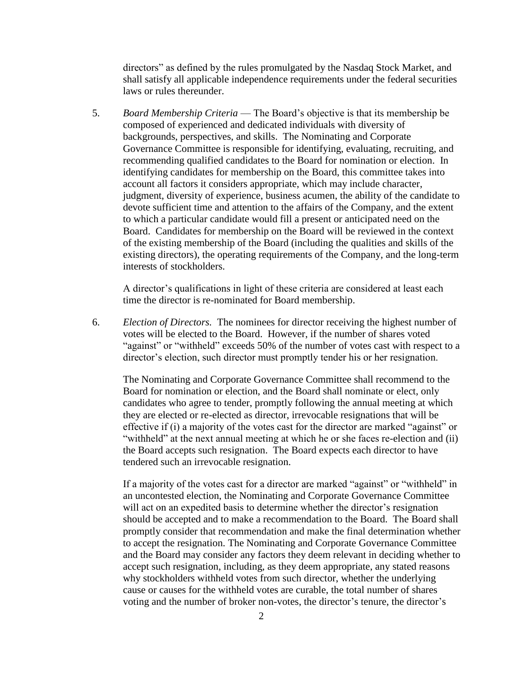directors" as defined by the rules promulgated by the Nasdaq Stock Market, and shall satisfy all applicable independence requirements under the federal securities laws or rules thereunder.

5. *Board Membership Criteria* — The Board's objective is that its membership be composed of experienced and dedicated individuals with diversity of backgrounds, perspectives, and skills. The Nominating and Corporate Governance Committee is responsible for identifying, evaluating, recruiting, and recommending qualified candidates to the Board for nomination or election. In identifying candidates for membership on the Board, this committee takes into account all factors it considers appropriate, which may include character, judgment, diversity of experience, business acumen, the ability of the candidate to devote sufficient time and attention to the affairs of the Company, and the extent to which a particular candidate would fill a present or anticipated need on the Board. Candidates for membership on the Board will be reviewed in the context of the existing membership of the Board (including the qualities and skills of the existing directors), the operating requirements of the Company, and the long-term interests of stockholders.

A director's qualifications in light of these criteria are considered at least each time the director is re-nominated for Board membership.

6. *Election of Directors.* The nominees for director receiving the highest number of votes will be elected to the Board. However, if the number of shares voted "against" or "withheld" exceeds 50% of the number of votes cast with respect to a director's election, such director must promptly tender his or her resignation.

The Nominating and Corporate Governance Committee shall recommend to the Board for nomination or election, and the Board shall nominate or elect, only candidates who agree to tender, promptly following the annual meeting at which they are elected or re-elected as director, irrevocable resignations that will be effective if (i) a majority of the votes cast for the director are marked "against" or "withheld" at the next annual meeting at which he or she faces re-election and (ii) the Board accepts such resignation. The Board expects each director to have tendered such an irrevocable resignation.

If a majority of the votes cast for a director are marked "against" or "withheld" in an uncontested election, the Nominating and Corporate Governance Committee will act on an expedited basis to determine whether the director's resignation should be accepted and to make a recommendation to the Board. The Board shall promptly consider that recommendation and make the final determination whether to accept the resignation. The Nominating and Corporate Governance Committee and the Board may consider any factors they deem relevant in deciding whether to accept such resignation, including, as they deem appropriate, any stated reasons why stockholders withheld votes from such director, whether the underlying cause or causes for the withheld votes are curable, the total number of shares voting and the number of broker non-votes, the director's tenure, the director's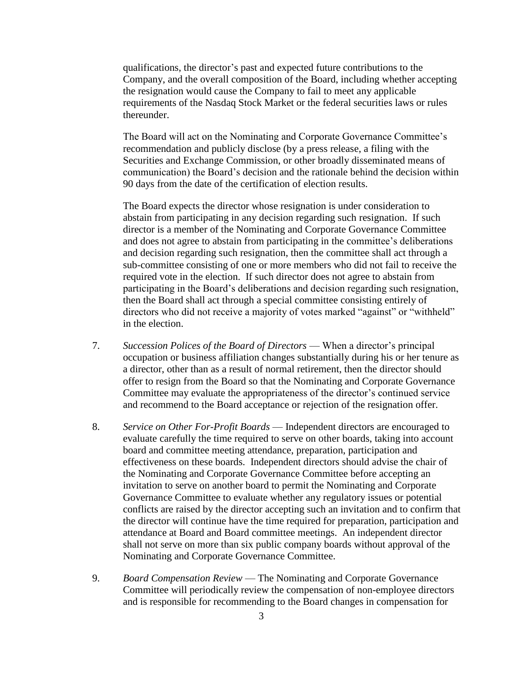qualifications, the director's past and expected future contributions to the Company, and the overall composition of the Board, including whether accepting the resignation would cause the Company to fail to meet any applicable requirements of the Nasdaq Stock Market or the federal securities laws or rules thereunder.

The Board will act on the Nominating and Corporate Governance Committee's recommendation and publicly disclose (by a press release, a filing with the Securities and Exchange Commission, or other broadly disseminated means of communication) the Board's decision and the rationale behind the decision within 90 days from the date of the certification of election results.

The Board expects the director whose resignation is under consideration to abstain from participating in any decision regarding such resignation. If such director is a member of the Nominating and Corporate Governance Committee and does not agree to abstain from participating in the committee's deliberations and decision regarding such resignation, then the committee shall act through a sub-committee consisting of one or more members who did not fail to receive the required vote in the election. If such director does not agree to abstain from participating in the Board's deliberations and decision regarding such resignation, then the Board shall act through a special committee consisting entirely of directors who did not receive a majority of votes marked "against" or "withheld" in the election.

- 7. *Succession Polices of the Board of Directors* When a director's principal occupation or business affiliation changes substantially during his or her tenure as a director, other than as a result of normal retirement, then the director should offer to resign from the Board so that the Nominating and Corporate Governance Committee may evaluate the appropriateness of the director's continued service and recommend to the Board acceptance or rejection of the resignation offer.
- 8. *Service on Other For-Profit Boards* Independent directors are encouraged to evaluate carefully the time required to serve on other boards, taking into account board and committee meeting attendance, preparation, participation and effectiveness on these boards. Independent directors should advise the chair of the Nominating and Corporate Governance Committee before accepting an invitation to serve on another board to permit the Nominating and Corporate Governance Committee to evaluate whether any regulatory issues or potential conflicts are raised by the director accepting such an invitation and to confirm that the director will continue have the time required for preparation, participation and attendance at Board and Board committee meetings. An independent director shall not serve on more than six public company boards without approval of the Nominating and Corporate Governance Committee.
- 9. *Board Compensation Review* The Nominating and Corporate Governance Committee will periodically review the compensation of non-employee directors and is responsible for recommending to the Board changes in compensation for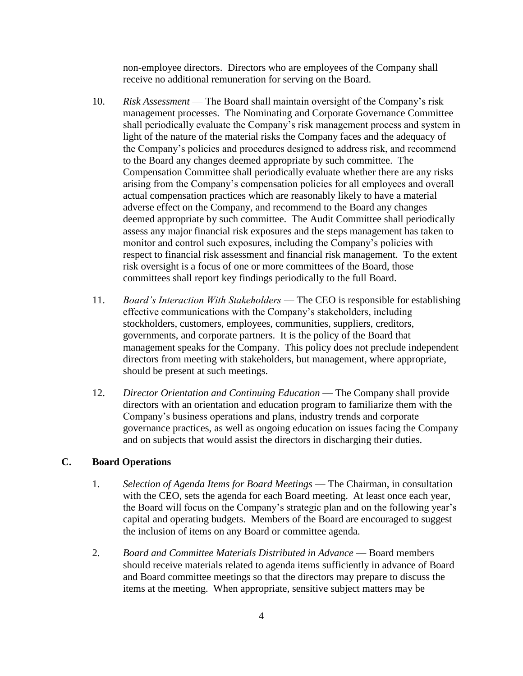non-employee directors. Directors who are employees of the Company shall receive no additional remuneration for serving on the Board.

- 10. *Risk Assessment* The Board shall maintain oversight of the Company's risk management processes. The Nominating and Corporate Governance Committee shall periodically evaluate the Company's risk management process and system in light of the nature of the material risks the Company faces and the adequacy of the Company's policies and procedures designed to address risk, and recommend to the Board any changes deemed appropriate by such committee. The Compensation Committee shall periodically evaluate whether there are any risks arising from the Company's compensation policies for all employees and overall actual compensation practices which are reasonably likely to have a material adverse effect on the Company, and recommend to the Board any changes deemed appropriate by such committee. The Audit Committee shall periodically assess any major financial risk exposures and the steps management has taken to monitor and control such exposures, including the Company's policies with respect to financial risk assessment and financial risk management. To the extent risk oversight is a focus of one or more committees of the Board, those committees shall report key findings periodically to the full Board.
- 11. *Board's Interaction With Stakeholders* The CEO is responsible for establishing effective communications with the Company's stakeholders, including stockholders, customers, employees, communities, suppliers, creditors, governments, and corporate partners. It is the policy of the Board that management speaks for the Company. This policy does not preclude independent directors from meeting with stakeholders, but management, where appropriate, should be present at such meetings.
- 12. *Director Orientation and Continuing Education* The Company shall provide directors with an orientation and education program to familiarize them with the Company's business operations and plans, industry trends and corporate governance practices, as well as ongoing education on issues facing the Company and on subjects that would assist the directors in discharging their duties.

## **C. Board Operations**

- 1. *Selection of Agenda Items for Board Meetings* The Chairman, in consultation with the CEO, sets the agenda for each Board meeting. At least once each year, the Board will focus on the Company's strategic plan and on the following year's capital and operating budgets. Members of the Board are encouraged to suggest the inclusion of items on any Board or committee agenda.
- 2. *Board and Committee Materials Distributed in Advance* Board members should receive materials related to agenda items sufficiently in advance of Board and Board committee meetings so that the directors may prepare to discuss the items at the meeting. When appropriate, sensitive subject matters may be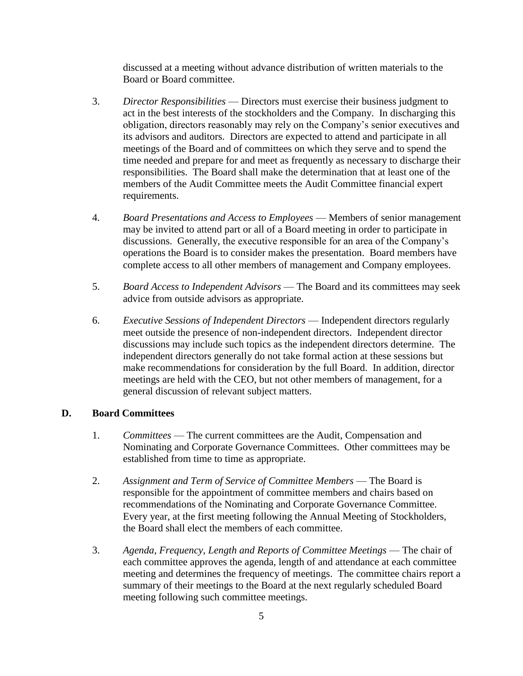discussed at a meeting without advance distribution of written materials to the Board or Board committee.

- 3. *Director Responsibilities* Directors must exercise their business judgment to act in the best interests of the stockholders and the Company. In discharging this obligation, directors reasonably may rely on the Company's senior executives and its advisors and auditors. Directors are expected to attend and participate in all meetings of the Board and of committees on which they serve and to spend the time needed and prepare for and meet as frequently as necessary to discharge their responsibilities. The Board shall make the determination that at least one of the members of the Audit Committee meets the Audit Committee financial expert requirements.
- 4. *Board Presentations and Access to Employees* Members of senior management may be invited to attend part or all of a Board meeting in order to participate in discussions. Generally, the executive responsible for an area of the Company's operations the Board is to consider makes the presentation. Board members have complete access to all other members of management and Company employees.
- 5. *Board Access to Independent Advisors* The Board and its committees may seek advice from outside advisors as appropriate.
- 6. *Executive Sessions of Independent Directors* Independent directors regularly meet outside the presence of non-independent directors. Independent director discussions may include such topics as the independent directors determine. The independent directors generally do not take formal action at these sessions but make recommendations for consideration by the full Board. In addition, director meetings are held with the CEO, but not other members of management, for a general discussion of relevant subject matters.

#### **D. Board Committees**

- 1. *Committees* The current committees are the Audit, Compensation and Nominating and Corporate Governance Committees. Other committees may be established from time to time as appropriate.
- 2. *Assignment and Term of Service of Committee Members* The Board is responsible for the appointment of committee members and chairs based on recommendations of the Nominating and Corporate Governance Committee. Every year, at the first meeting following the Annual Meeting of Stockholders, the Board shall elect the members of each committee.
- 3. *Agenda, Frequency, Length and Reports of Committee Meetings* The chair of each committee approves the agenda, length of and attendance at each committee meeting and determines the frequency of meetings. The committee chairs report a summary of their meetings to the Board at the next regularly scheduled Board meeting following such committee meetings.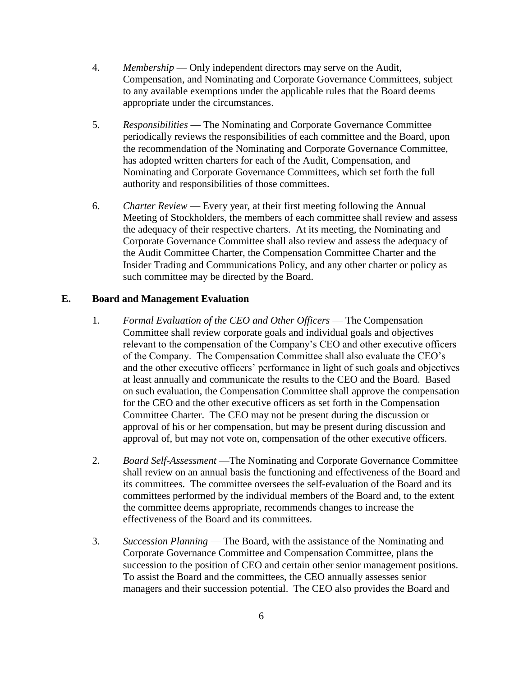- 4. *Membership* Only independent directors may serve on the Audit, Compensation, and Nominating and Corporate Governance Committees, subject to any available exemptions under the applicable rules that the Board deems appropriate under the circumstances.
- 5. *Responsibilities* The Nominating and Corporate Governance Committee periodically reviews the responsibilities of each committee and the Board, upon the recommendation of the Nominating and Corporate Governance Committee, has adopted written charters for each of the Audit, Compensation, and Nominating and Corporate Governance Committees, which set forth the full authority and responsibilities of those committees.
- 6. *Charter Review* Every year, at their first meeting following the Annual Meeting of Stockholders, the members of each committee shall review and assess the adequacy of their respective charters. At its meeting, the Nominating and Corporate Governance Committee shall also review and assess the adequacy of the Audit Committee Charter, the Compensation Committee Charter and the Insider Trading and Communications Policy, and any other charter or policy as such committee may be directed by the Board.

#### **E. Board and Management Evaluation**

- 1. *Formal Evaluation of the CEO and Other Officers* The Compensation Committee shall review corporate goals and individual goals and objectives relevant to the compensation of the Company's CEO and other executive officers of the Company. The Compensation Committee shall also evaluate the CEO's and the other executive officers' performance in light of such goals and objectives at least annually and communicate the results to the CEO and the Board. Based on such evaluation, the Compensation Committee shall approve the compensation for the CEO and the other executive officers as set forth in the Compensation Committee Charter. The CEO may not be present during the discussion or approval of his or her compensation, but may be present during discussion and approval of, but may not vote on, compensation of the other executive officers.
- 2. *Board Self-Assessment* —The Nominating and Corporate Governance Committee shall review on an annual basis the functioning and effectiveness of the Board and its committees. The committee oversees the self-evaluation of the Board and its committees performed by the individual members of the Board and, to the extent the committee deems appropriate, recommends changes to increase the effectiveness of the Board and its committees.
- 3. *Succession Planning* The Board, with the assistance of the Nominating and Corporate Governance Committee and Compensation Committee, plans the succession to the position of CEO and certain other senior management positions. To assist the Board and the committees, the CEO annually assesses senior managers and their succession potential. The CEO also provides the Board and